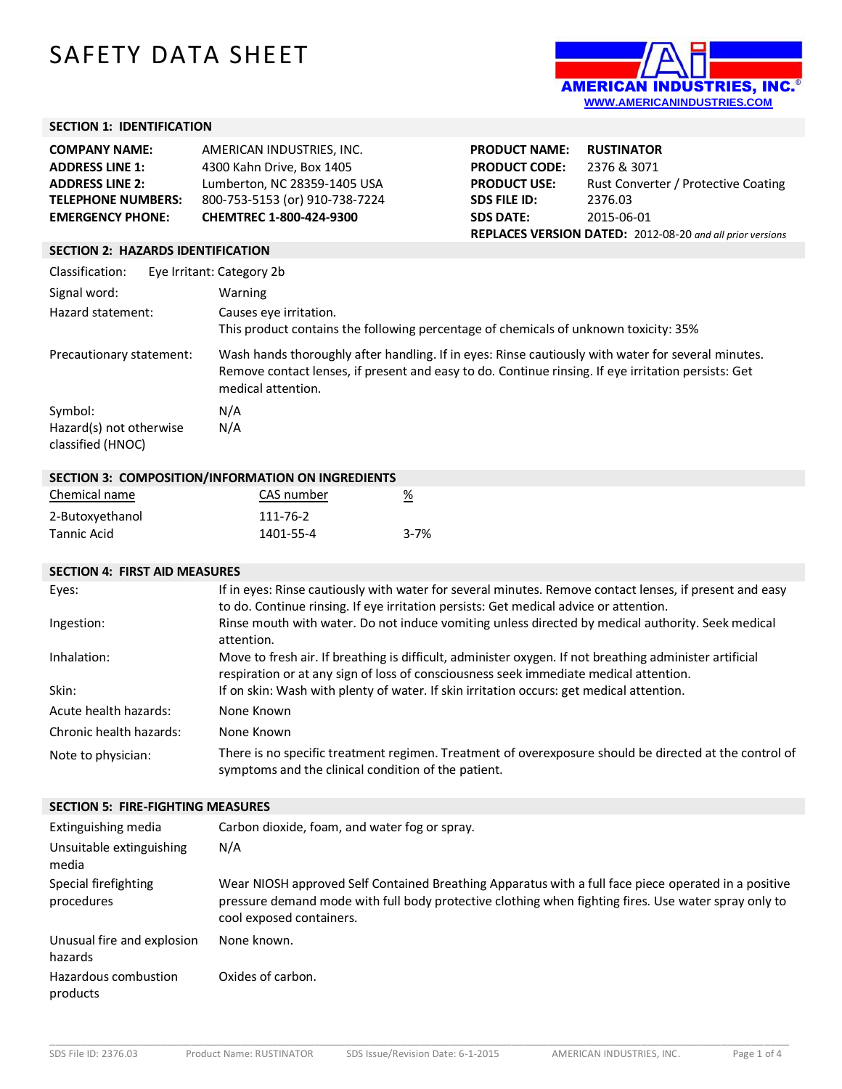# SAFETY DATA SHEET



# **SECTION 1: IDENTIFICATION**

| <b>COMPANY NAME:</b>      | AMERICAN INDUSTRIES, INC.      |
|---------------------------|--------------------------------|
| <b>ADDRESS LINE 1:</b>    | 4300 Kahn Drive, Box 1405      |
| <b>ADDRESS LINE 2:</b>    | Lumberton, NC 28359-1405 USA   |
| <b>TELEPHONE NUMBERS:</b> | 800-753-5153 (or) 910-738-7224 |
| <b>EMERGENCY PHONE:</b>   | CHEMTREC 1-800-424-9300        |

| <b>PRODUCT NAME:</b>                                      | <b>RUSTINATOR</b>                   |
|-----------------------------------------------------------|-------------------------------------|
| <b>PRODUCT CODE:</b>                                      | 2376 & 3071                         |
| <b>PRODUCT USE:</b>                                       | Rust Converter / Protective Coating |
| <b>SDS FILE ID:</b>                                       | 2376.03                             |
| <b>SDS DATE:</b>                                          | 2015-06-01                          |
| REPLACES VERSION DATED: 2012-08-20 and all prior versions |                                     |

## **SECTION 2: HAZARDS IDENTIFICATION**

| Classification:                                         | Eye Irritant: Category 2b                                                                                                                                                                                                       |
|---------------------------------------------------------|---------------------------------------------------------------------------------------------------------------------------------------------------------------------------------------------------------------------------------|
| Signal word:                                            | Warning                                                                                                                                                                                                                         |
| Hazard statement:                                       | Causes eye irritation.<br>This product contains the following percentage of chemicals of unknown toxicity: 35%                                                                                                                  |
| Precautionary statement:                                | Wash hands thoroughly after handling. If in eyes: Rinse cautiously with water for several minutes.<br>Remove contact lenses, if present and easy to do. Continue rinsing. If eye irritation persists: Get<br>medical attention. |
| Symbol:<br>Hazard(s) not otherwise<br>classified (HNOC) | N/A<br>N/A                                                                                                                                                                                                                      |

| SECTION 3: COMPOSITION/INFORMATION ON INGREDIENTS |            |                       |
|---------------------------------------------------|------------|-----------------------|
| Chemical name                                     | CAS number | $\frac{\%}{\sqrt{2}}$ |
| 2-Butoxyethanol                                   | 111-76-2   |                       |
| Tannic Acid                                       | 1401-55-4  | $3 - 7%$              |

## **SECTION 4: FIRST AID MEASURES**

| Eyes:                   | If in eyes: Rinse cautiously with water for several minutes. Remove contact lenses, if present and easy<br>to do. Continue rinsing. If eye irritation persists: Get medical advice or attention. |
|-------------------------|--------------------------------------------------------------------------------------------------------------------------------------------------------------------------------------------------|
| Ingestion:              | Rinse mouth with water. Do not induce vomiting unless directed by medical authority. Seek medical<br>attention.                                                                                  |
| Inhalation:             | Move to fresh air. If breathing is difficult, administer oxygen. If not breathing administer artificial<br>respiration or at any sign of loss of consciousness seek immediate medical attention. |
| Skin:                   | If on skin: Wash with plenty of water. If skin irritation occurs: get medical attention.                                                                                                         |
| Acute health hazards:   | None Known                                                                                                                                                                                       |
| Chronic health hazards: | None Known                                                                                                                                                                                       |
| Note to physician:      | There is no specific treatment regimen. Treatment of overexposure should be directed at the control of<br>symptoms and the clinical condition of the patient.                                    |

#### **SECTION 5: FIRE-FIGHTING MEASURES**

| Extinguishing media                   | Carbon dioxide, foam, and water fog or spray.                                                                                                                                                                                            |
|---------------------------------------|------------------------------------------------------------------------------------------------------------------------------------------------------------------------------------------------------------------------------------------|
| Unsuitable extinguishing<br>media     | N/A                                                                                                                                                                                                                                      |
| Special firefighting<br>procedures    | Wear NIOSH approved Self Contained Breathing Apparatus with a full face piece operated in a positive<br>pressure demand mode with full body protective clothing when fighting fires. Use water spray only to<br>cool exposed containers. |
| Unusual fire and explosion<br>hazards | None known.                                                                                                                                                                                                                              |
| Hazardous combustion<br>products      | Oxides of carbon.                                                                                                                                                                                                                        |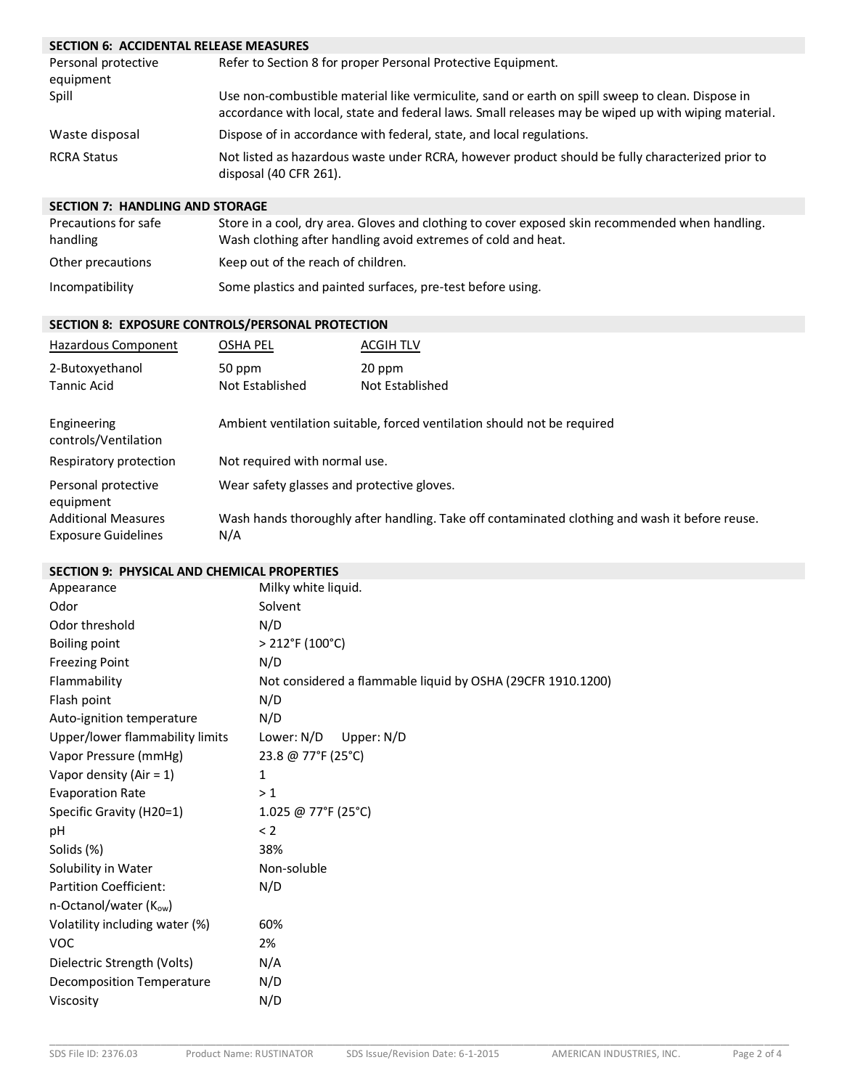# **SECTION 6: ACCIDENTAL RELEASE MEASURES**

| Personal protective<br>equipment | Refer to Section 8 for proper Personal Protective Equipment.                                                                                                                                            |
|----------------------------------|---------------------------------------------------------------------------------------------------------------------------------------------------------------------------------------------------------|
| Spill                            | Use non-combustible material like vermiculite, sand or earth on spill sweep to clean. Dispose in<br>accordance with local, state and federal laws. Small releases may be wiped up with wiping material. |
| Waste disposal                   | Dispose of in accordance with federal, state, and local regulations.                                                                                                                                    |
| <b>RCRA Status</b>               | Not listed as hazardous waste under RCRA, however product should be fully characterized prior to<br>disposal (40 CFR 261).                                                                              |

## **SECTION 7: HANDLING AND STORAGE**

| Precautions for safe<br>handling | Store in a cool, dry area. Gloves and clothing to cover exposed skin recommended when handling.<br>Wash clothing after handling avoid extremes of cold and heat. |
|----------------------------------|------------------------------------------------------------------------------------------------------------------------------------------------------------------|
| Other precautions                | Keep out of the reach of children.                                                                                                                               |
| Incompatibility                  | Some plastics and painted surfaces, pre-test before using.                                                                                                       |

## **SECTION 8: EXPOSURE CONTROLS/PERSONAL PROTECTION**

| Hazardous Component                                      | OSHA PEL                                                                | <b>ACGIH TLV</b>                                                                               |
|----------------------------------------------------------|-------------------------------------------------------------------------|------------------------------------------------------------------------------------------------|
| 2-Butoxyethanol<br><b>Tannic Acid</b>                    | 50 ppm<br>Not Established                                               | 20 ppm<br>Not Established                                                                      |
| Engineering<br>controls/Ventilation                      | Ambient ventilation suitable, forced ventilation should not be required |                                                                                                |
| Respiratory protection                                   | Not required with normal use.                                           |                                                                                                |
| Personal protective<br>equipment                         | Wear safety glasses and protective gloves.                              |                                                                                                |
| <b>Additional Measures</b><br><b>Exposure Guidelines</b> | N/A                                                                     | Wash hands thoroughly after handling. Take off contaminated clothing and wash it before reuse. |

## **SECTION 9: PHYSICAL AND CHEMICAL PROPERTIES**

| Appearance                       | Milky white liquid.                                         |
|----------------------------------|-------------------------------------------------------------|
| Odor                             | Solvent                                                     |
| Odor threshold                   | N/D                                                         |
| <b>Boiling point</b>             | $> 212$ °F (100°C)                                          |
| <b>Freezing Point</b>            | N/D                                                         |
| Flammability                     | Not considered a flammable liquid by OSHA (29CFR 1910.1200) |
| Flash point                      | N/D                                                         |
| Auto-ignition temperature        | N/D                                                         |
| Upper/lower flammability limits  | Lower: N/D<br>Upper: N/D                                    |
| Vapor Pressure (mmHg)            | 23.8 @ 77°F (25°C)                                          |
| Vapor density (Air = $1$ )       | 1                                                           |
| <b>Evaporation Rate</b>          | >1                                                          |
| Specific Gravity (H20=1)         | 1.025 @ 77°F (25°C)                                         |
| pH                               | < 2                                                         |
| Solids (%)                       | 38%                                                         |
| Solubility in Water              | Non-soluble                                                 |
| <b>Partition Coefficient:</b>    | N/D                                                         |
| n-Octanol/water $(K_{ow})$       |                                                             |
| Volatility including water (%)   | 60%                                                         |
| <b>VOC</b>                       | 2%                                                          |
| Dielectric Strength (Volts)      | N/A                                                         |
| <b>Decomposition Temperature</b> | N/D                                                         |
| Viscosity                        | N/D                                                         |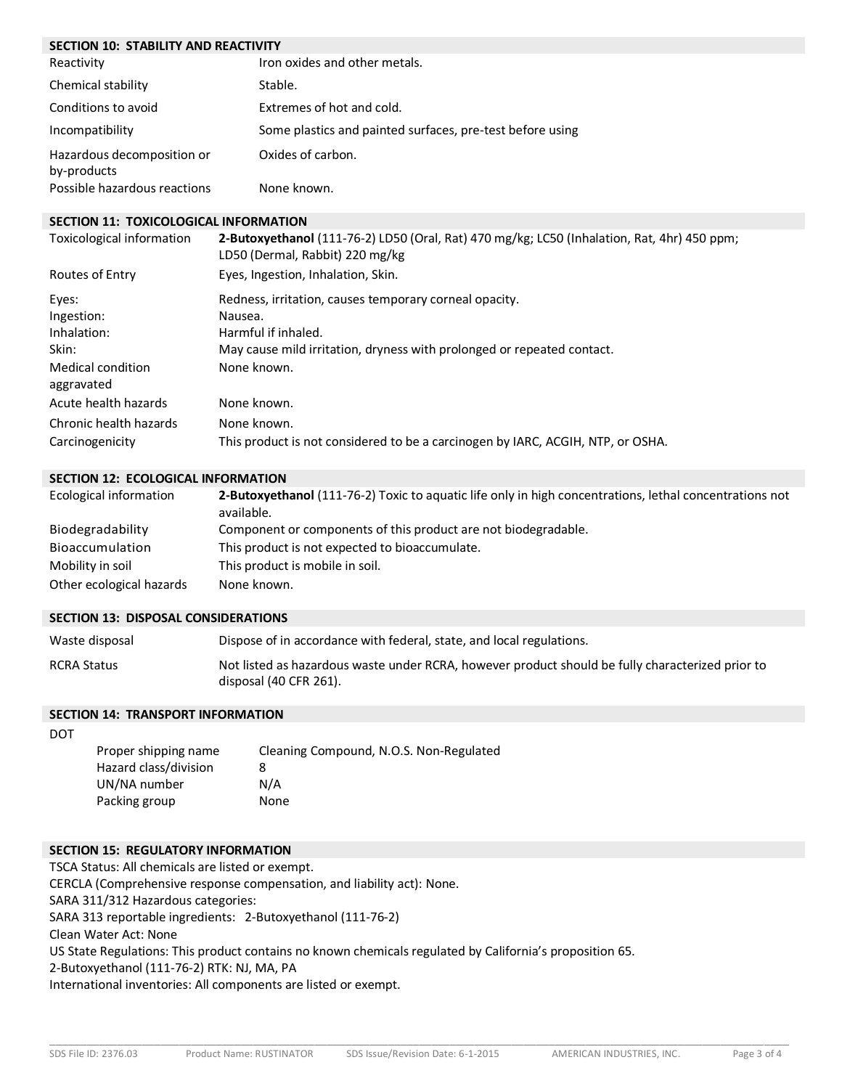| <b>SECTION 10: STABILITY AND REACTIVITY</b> |                                                           |  |
|---------------------------------------------|-----------------------------------------------------------|--|
| Reactivity                                  | Iron oxides and other metals.                             |  |
| Chemical stability                          | Stable.                                                   |  |
| Conditions to avoid                         | Extremes of hot and cold.                                 |  |
| Incompatibility                             | Some plastics and painted surfaces, pre-test before using |  |
| Hazardous decomposition or<br>by-products   | Oxides of carbon.                                         |  |
| Possible hazardous reactions                | None known.                                               |  |

## **SECTION 11: TOXICOLOGICAL INFORMATION**

| Toxicological information                                                      | 2-Butoxyethanol (111-76-2) LD50 (Oral, Rat) 470 mg/kg; LC50 (Inhalation, Rat, 4hr) 450 ppm;<br>LD50 (Dermal, Rabbit) 220 mg/kg                                                    |
|--------------------------------------------------------------------------------|-----------------------------------------------------------------------------------------------------------------------------------------------------------------------------------|
| Routes of Entry                                                                | Eyes, Ingestion, Inhalation, Skin.                                                                                                                                                |
| Eyes:<br>Ingestion:<br>Inhalation:<br>Skin:<br>Medical condition<br>aggravated | Redness, irritation, causes temporary corneal opacity.<br>Nausea.<br>Harmful if inhaled.<br>May cause mild irritation, dryness with prolonged or repeated contact.<br>None known. |
| Acute health hazards<br>Chronic health hazards<br>Carcinogenicity              | None known.<br>None known.<br>This product is not considered to be a carcinogen by IARC, ACGIH, NTP, or OSHA.                                                                     |

#### **SECTION 12: ECOLOGICAL INFORMATION**

| Ecological information   | <b>2-Butoxyethanol</b> (111-76-2) Toxic to aguatic life only in high concentrations, lethal concentrations not<br>available. |
|--------------------------|------------------------------------------------------------------------------------------------------------------------------|
| Biodegradability         | Component or components of this product are not biodegradable.                                                               |
| Bioaccumulation          | This product is not expected to bioaccumulate.                                                                               |
| Mobility in soil         | This product is mobile in soil.                                                                                              |
| Other ecological hazards | None known.                                                                                                                  |

#### **SECTION 13: DISPOSAL CONSIDERATIONS**

| Waste disposal     | Dispose of in accordance with federal, state, and local regulations.                                                       |
|--------------------|----------------------------------------------------------------------------------------------------------------------------|
| <b>RCRA Status</b> | Not listed as hazardous waste under RCRA, however product should be fully characterized prior to<br>disposal (40 CFR 261). |

# **SECTION 14: TRANSPORT INFORMATION**

| Cleaning Compound, N.O.S. Non-Regulated |
|-----------------------------------------|
| 8                                       |
| N/A                                     |
| None                                    |
|                                         |

## **SECTION 15: REGULATORY INFORMATION**

TSCA Status: All chemicals are listed or exempt. CERCLA (Comprehensive response compensation, and liability act): None. SARA 311/312 Hazardous categories: SARA 313 reportable ingredients: 2-Butoxyethanol (111-76-2) Clean Water Act: None US State Regulations: This product contains no known chemicals regulated by California's proposition 65. 2-Butoxyethanol (111-76-2) RTK: NJ, MA, PA International inventories: All components are listed or exempt.